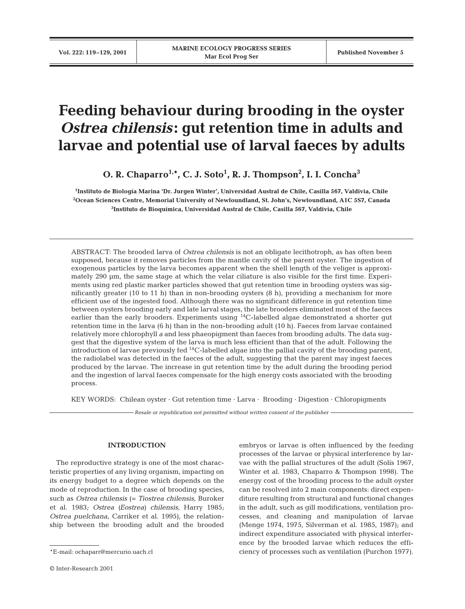# **Feeding behaviour during brooding in the oyster** *Ostrea chilensis***: gut retention time in adults and larvae and potential use of larval faeces by adults**

**O. R. Chaparro1,\*, C. J. Soto1 , R. J. Thompson2 , I. I. Concha3**

**1 Instituto de Biología Marina 'Dr. Jurgen Winter', Universidad Austral de Chile, Casilla 567, Valdivia, Chile 2 Ocean Sciences Centre, Memorial University of Newfoundland, St. John's, Newfoundland, A1C 5S7, Canada 3 Instituto de Bioquímica, Universidad Austral de Chile, Casilla 567, Valdivia, Chile**

ABSTRACT: The brooded larva of *Ostrea chilensis* is not an obligate lecithotroph, as has often been supposed, because it removes particles from the mantle cavity of the parent oyster. The ingestion of exogenous particles by the larva becomes apparent when the shell length of the veliger is approximately 290  $\mu$ m, the same stage at which the velar ciliature is also visible for the first time. Experiments using red plastic marker particles showed that gut retention time in brooding oysters was significantly greater (10 to 11 h) than in non-brooding oysters (8 h), providing a mechanism for more efficient use of the ingested food. Although there was no significant difference in gut retention time between oysters brooding early and late larval stages, the late brooders eliminated most of the faeces earlier than the early brooders. Experiments using <sup>14</sup>C-labelled algae demonstrated a shorter qut retention time in the larva (6 h) than in the non-brooding adult (10 h). Faeces from larvae contained relatively more chlorophyll *a* and less phaeopigment than faeces from brooding adults. The data suggest that the digestive system of the larva is much less efficient than that of the adult. Following the introduction of larvae previously fed  ${}^{14}C$ -labelled algae into the pallial cavity of the brooding parent, the radiolabel was detected in the faeces of the adult, suggesting that the parent may ingest faeces produced by the larvae. The increase in gut retention time by the adult during the brooding period and the ingestion of larval faeces compensate for the high energy costs associated with the brooding process.

KEY WORDS: Chilean oyster · Gut retention time · Larva · Brooding · Digestion · Chloropigments

*Resale or republication not permitted without written consent of the publisher*

#### **INTRODUCTION**

The reproductive strategy is one of the most characteristic properties of any living organism, impacting on its energy budget to a degree which depends on the mode of reproduction. In the case of brooding species, such as *Ostrea chilensis* (= *Tiostrea chilensis*, Buroker et al. 1983*; Ostrea (Eostrea) chilensis*, Harry 1985*; Ostrea puelchana*, Carriker et al. 1995), the relationship between the brooding adult and the brooded

embryos or larvae is often influenced by the feeding processes of the larvae or physical interference by larvae with the pallial structures of the adult (Solís 1967, Winter et al. 1983, Chaparro & Thompson 1998). The energy cost of the brooding process to the adult oyster can be resolved into 2 main components: direct expenditure resulting from structural and functional changes in the adult, such as gill modifications, ventilation processes, and cleaning and manipulation of larvae (Menge 1974, 1975, Silverman et al. 1985, 1987); and indirect expenditure associated with physical interference by the brooded larvae which reduces the efficiency of processes such as ventilation (Purchon 1977).

<sup>\*</sup>E-mail: ochaparr@mercurio.uach.cl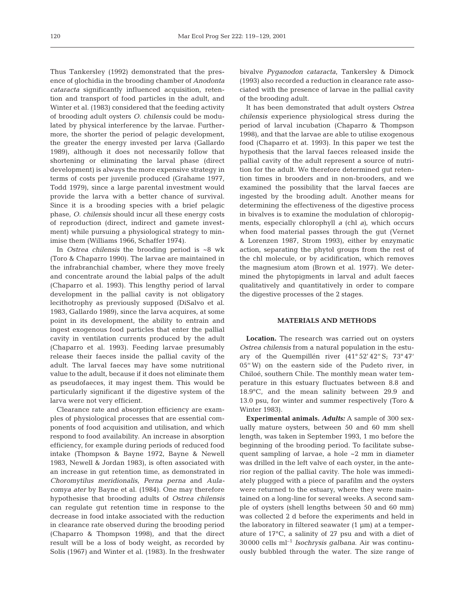Thus Tankersley (1992) demonstrated that the presence of glochidia in the brooding chamber of *Anodonta cataracta* significantly influenced acquisition, retention and transport of food particles in the adult, and Winter et al. (1983) considered that the feeding activity of brooding adult oysters *O. chilensis* could be modulated by physical interference by the larvae. Furthermore, the shorter the period of pelagic development, the greater the energy invested per larva (Gallardo 1989), although it does not necessarily follow that shortening or eliminating the larval phase (direct development) is always the more expensive strategy in terms of costs per juvenile produced (Grahame 1977, Todd 1979), since a large parental investment would provide the larva with a better chance of survival. Since it is a brooding species with a brief pelagic phase, *O. chilensis* should incur all these energy costs of reproduction (direct, indirect and gamete investment) while pursuing a physiological strategy to minimise them (Williams 1966, Schaffer 1974).

In *Ostrea chilensis* the brooding period is ~8 wk (Toro & Chaparro 1990)*.* The larvae are maintained in the infrabranchial chamber, where they move freely and concentrate around the labial palps of the adult (Chaparro et al. 1993). This lengthy period of larval development in the pallial cavity is not obligatory lecithotrophy as previously supposed (DiSalvo et al. 1983, Gallardo 1989), since the larva acquires, at some point in its development, the ability to entrain and ingest exogenous food particles that enter the pallial cavity in ventilation currents produced by the adult (Chaparro et al. 1993). Feeding larvae presumably release their faeces inside the pallial cavity of the adult. The larval faeces may have some nutritional value to the adult, because if it does not eliminate them as pseudofaeces, it may ingest them. This would be particularly significant if the digestive system of the larva were not very efficient.

Clearance rate and absorption efficiency are examples of physiological processes that are essential components of food acquisition and utilisation, and which respond to food availability. An increase in absorption efficiency, for example during periods of reduced food intake (Thompson & Bayne 1972, Bayne & Newell 1983, Newell & Jordan 1983), is often associated with an increase in gut retention time, as demonstrated in *Choromytilus meridionalis, Perna perna* and *Aulacomya ater* by Bayne et al. (1984). One may therefore hypothesise that brooding adults of *Ostrea chilensis* can regulate gut retention time in response to the decrease in food intake associated with the reduction in clearance rate observed during the brooding period (Chaparro & Thompson 1998), and that the direct result will be a loss of body weight, as recorded by Solís (1967) and Winter et al. (1983). In the freshwater bivalve *Pyganodon cataracta*, Tankersley & Dimock (1993) also recorded a reduction in clearance rate associated with the presence of larvae in the pallial cavity of the brooding adult.

It has been demonstrated that adult oysters *Ostrea chilensis* experience physiological stress during the period of larval incubation (Chaparro & Thompson 1998), and that the larvae are able to utilise exogenous food (Chaparro et at. 1993). In this paper we test the hypothesis that the larval faeces released inside the pallial cavity of the adult represent a source of nutrition for the adult*.* We therefore determined gut retention times in brooders and in non-brooders, and we examined the possibility that the larval faeces are ingested by the brooding adult. Another means for determining the effectiveness of the digestive process in bivalves is to examine the modulation of chloropigments, especially chlorophyll *a* (chl *a),* which occurs when food material passes through the gut (Vernet & Lorenzen 1987, Strom 1993), either by enzymatic action, separating the phytol groups from the rest of the chl molecule, or by acidification, which removes the magnesium atom (Brown et al. 1977). We determined the phytopigments in larval and adult faeces qualitatively and quantitatively in order to compare the digestive processes of the 2 stages.

#### **MATERIALS AND METHODS**

**Location.** The research was carried out on oysters *Ostrea chilensis* from a natural population in the estuary of the Quempillén river (41° 52' 42'' S; 73° 47' 05'' W) on the eastern side of the Pudeto river, in Chiloé, southern Chile. The monthly mean water temperature in this estuary fluctuates between 8.8 and 18.9°C, and the mean salinity between 29.9 and 13.0 psu, for winter and summer respectively (Toro & Winter 1983).

**Experimental animals.** *Adults:* A sample of 300 sexually mature oysters, between 50 and 60 mm shell length, was taken in September 1993, 1 mo before the beginning of the brooding period. To facilitate subsequent sampling of larvae, a hole ~2 mm in diameter was drilled in the left valve of each oyster, in the anterior region of the pallial cavity. The hole was immediately plugged with a piece of parafilm and the oysters were returned to the estuary, where they were maintained on a long-line for several weeks. A second sample of oysters (shell lengths between 50 and 60 mm) was collected 2 d before the experiments and held in the laboratory in filtered seawater (1 µm) at a temperature of 17°C, a salinity of 27 psu and with a diet of 30000 cells ml–1 *Isochrysis galbana*. Air was continuously bubbled through the water. The size range of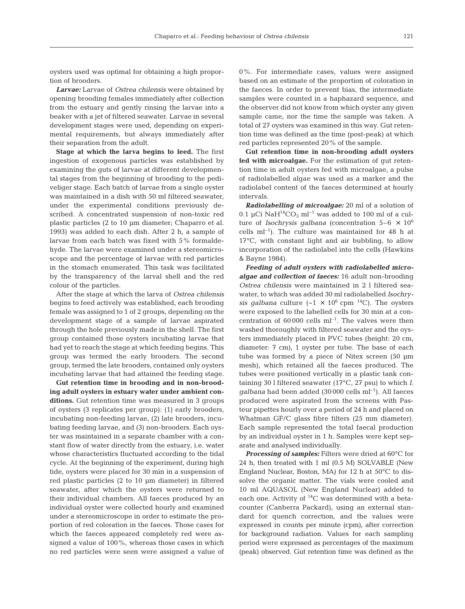oysters used was optimal for obtaining a high proportion of brooders.

*Larvae:* Larvae of *Ostrea chilensis* were obtained by opening brooding females immediately after collection from the estuary and gently rinsing the larvae into a beaker with a jet of filtered seawater. Larvae in several development stages were used, depending on experimental requirements, but always immediately after their separation from the adult.

**Stage at which the larva begins to feed.** The first ingestion of exogenous particles was established by examining the guts of larvae at different developmental stages from the beginning of brooding to the pediveliger stage. Each batch of larvae from a single oyster was maintained in a dish with 50 ml filtered seawater, under the experimental conditions previously described. A concentrated suspension of non-toxic red plastic particles (2 to 10 µm diameter; Chaparro et al. 1993) was added to each dish. After 2 h, a sample of larvae from each batch was fixed with 5% formaldehyde. The larvae were examined under a stereomicroscope and the percentage of larvae with red particles in the stomach enumerated. This task was facilitated by the transparency of the larval shell and the red colour of the particles.

After the stage at which the larva of *Ostrea chilensis* begins to feed actively was established, each brooding female was assigned to 1 of 2 groups, depending on the development stage of a sample of larvae aspirated through the hole previously made in the shell. The first group contained those oysters incubating larvae that had yet to reach the stage at which feeding begins. This group was termed the early brooders. The second group, termed the late brooders, contained only oysters incubating larvae that had attained the feeding stage.

**Gut retention time in brooding and in non-brooding adult oysters in estuary water under ambient conditions.** Gut retention time was measured in 3 groups of oysters (3 replicates per group): (1) early brooders, incubating non-feeding larvae, (2) late brooders, incubating feeding larvae, and (3) non-brooders. Each oyster was maintained in a separate chamber with a constant flow of water directly from the estuary, i.e. water whose characteristics fluctuated according to the tidal cycle. At the beginning of the experiment, during high tide, oysters were placed for 30 min in a suspension of red plastic particles (2 to 10 µm diameter) in filtered seawater, after which the oysters were returned to their individual chambers. All faeces produced by an individual oyster were collected hourly and examined under a stereomicroscope in order to estimate the proportion of red coloration in the faeces. Those cases for which the faeces appeared completely red were assigned a value of 100%, whereas those cases in which no red particles were seen were assigned a value of

0%. For intermediate cases, values were assigned based on an estimate of the proportion of coloration in the faeces. In order to prevent bias, the intermediate samples were counted in a haphazard sequence, and the observer did not know from which oyster any given sample came, nor the time the sample was taken. A total of 27 oysters was examined in this way. Gut retention time was defined as the time (post-peak) at which red particles represented 20% of the sample.

**Gut retention time in non-brooding adult oysters fed with microalgae.** For the estimation of gut retention time in adult oysters fed with microalgae, a pulse of radiolabelled algae was used as a marker and the radiolabel content of the faeces determined at hourly intervals.

*Radiolabelling of microalgae:* 20 ml of a solution of 0.1 µCi Na $H^{14}CO_3$  ml<sup>-1</sup> was added to 100 ml of a culture of *Isochrysis galbana* (concentration  $5-6 \times 10^6$ cells  $ml^{-1}$ ). The culture was maintained for 48 h at 17°C, with constant light and air bubbling, to allow incorporation of the radiolabel into the cells (Hawkins & Bayne 1984).

*Feeding of adult oysters with radiolabelled microalgae and collection of faeces:* 16 adult non-brooding *Ostrea chilensis* were maintained in 2 l filtered seawater, to which was added 30 ml radiolabelled *Isochrysis galbana* culture  $({\sim}1 \times 10^6 \text{ rpm} \space ^{14}\text{C})$ . The oysters were exposed to the labelled cells for 30 min at a concentration of  $60000$  cells  $ml^{-1}$ . The valves were then washed thoroughly with filtered seawater and the oysters immediately placed in PVC tubes (height: 20 cm, diameter: 7 cm), 1 oyster per tube. The base of each tube was formed by a piece of Nitex screen (50 µm mesh), which retained all the faeces produced. The tubes were positioned vertically in a plastic tank containing 30 l filtered seawater (17°C, 27 psu) to which *I. galbana* had been added (30000 cells ml–1). All faeces produced were aspirated from the screens with Pasteur pipettes hourly over a period of 24 h and placed on Whatman GF/C glass fibre filters (25 mm diameter). Each sample represented the total faecal production by an individual oyster in 1 h. Samples were kept separate and analysed individually.

*Processing of samples:* Filters were dried at 60°C for 24 h, then treated with 1 ml (0.5 M) SOLVABLE (New England Nuclear, Boston, MA) for 12 h at 50°C to dissolve the organic matter. The vials were cooled and 10 ml AQUASOL (New England Nuclear) added to each one. Activity of 14C was determined with a betacounter (Canberra Packard), using an external standard for quench correction, and the values were expressed in counts per minute (cpm), after correction for background radiation. Values for each sampling period were expressed as percentages of the maximum (peak) observed. Gut retention time was defined as the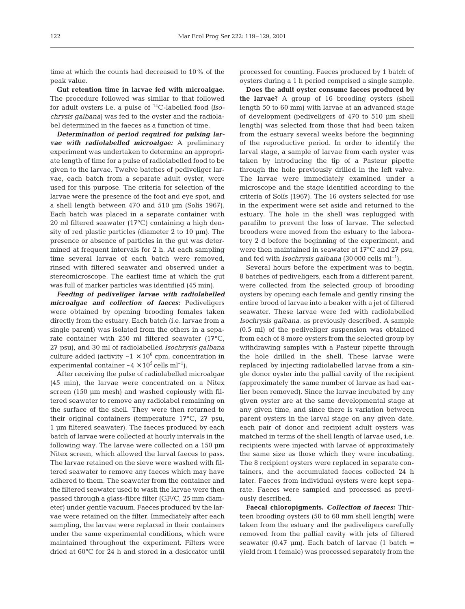time at which the counts had decreased to 10% of the peak value.

**Gut retention time in larvae fed with microalgae.** The procedure followed was similar to that followed for adult oysters i.e. a pulse of 14C-labelled food *(Isochrysis galbana)* was fed to the oyster and the radiolabel determined in the faeces as a function of time.

*Determination of period required for pulsing larvae with radiolabelled microalgae:* A preliminary experiment was undertaken to determine an appropriate length of time for a pulse of radiolabelled food to be given to the larvae. Twelve batches of pediveliger larvae, each batch from a separate adult oyster, were used for this purpose. The criteria for selection of the larvae were the presence of the foot and eye spot, and a shell length between 470 and 510 µm (Solís 1967). Each batch was placed in a separate container with 20 ml filtered seawater (17°C) containing a high density of red plastic particles (diameter 2 to 10 µm). The presence or absence of particles in the gut was determined at frequent intervals for 2 h. At each sampling time several larvae of each batch were removed, rinsed with filtered seawater and observed under a stereomicroscope. The earliest time at which the gut was full of marker particles was identified (45 min).

*Feeding of pediveliger larvae with radiolabelled microalgae and collection of faeces:* Pediveligers were obtained by opening brooding females taken directly from the estuary. Each batch (i.e. larvae from a single parent) was isolated from the others in a separate container with 250 ml filtered seawater (17°C, 27 psu), and 30 ml of radiolabelled *Isochrysis galbana* culture added (activity  $~1 \times 10^6$  cpm, concentration in experimental container  $\sim 4 \times 10^5$  cells ml<sup>-1</sup>).

After receiving the pulse of radiolabelled microalgae (45 min), the larvae were concentrated on a Nitex screen (150 µm mesh) and washed copiously with filtered seawater to remove any radiolabel remaining on the surface of the shell. They were then returned to their original containers (temperature 17°C, 27 psu, 1 µm filtered seawater). The faeces produced by each batch of larvae were collected at hourly intervals in the following way. The larvae were collected on a 150 µm Nitex screen, which allowed the larval faeces to pass. The larvae retained on the sieve were washed with filtered seawater to remove any faeces which may have adhered to them. The seawater from the container and the filtered seawater used to wash the larvae were then passed through a glass-fibre filter (GF/C, 25 mm diameter) under gentle vacuum. Faeces produced by the larvae were retained on the filter. Immediately after each sampling, the larvae were replaced in their containers under the same experimental conditions, which were maintained throughout the experiment. Filters were dried at 60°C for 24 h and stored in a desiccator until processed for counting. Faeces produced by 1 batch of oysters during a 1 h period comprised a single sample.

**Does the adult oyster consume faeces produced by the larvae?** A group of 16 brooding oysters (shell length 50 to 60 mm) with larvae at an advanced stage of development (pediveligers of 470 to 510 µm shell length) was selected from those that had been taken from the estuary several weeks before the beginning of the reproductive period. In order to identify the larval stage, a sample of larvae from each oyster was taken by introducing the tip of a Pasteur pipette through the hole previously drilled in the left valve. The larvae were immediately examined under a microscope and the stage identified according to the criteria of Solís (1967). The 16 oysters selected for use in the experiment were set aside and returned to the estuary. The hole in the shell was replugged with parafilm to prevent the loss of larvae. The selected brooders were moved from the estuary to the laboratory 2 d before the beginning of the experiment, and were then maintained in seawater at 17°C and 27 psu, and fed with *Isochrysis galbana* (30 000 cells ml–1).

Several hours before the experiment was to begin, 8 batches of pediveligers, each from a different parent, were collected from the selected group of brooding oysters by opening each female and gently rinsing the entire brood of larvae into a beaker with a jet of filtered seawater. These larvae were fed with radiolabelled *Isochrysis galbana*, as previously described. A sample (0.5 ml) of the pediveliger suspension was obtained from each of 8 more oysters from the selected group by withdrawing samples with a Pasteur pipette through the hole drilled in the shell. These larvae were replaced by injecting radiolabelled larvae from a single donor oyster into the pallial cavity of the recipient (approximately the same number of larvae as had earlier been removed)*.* Since the larvae incubated by any given oyster are at the same developmental stage at any given time, and since there is variation between parent oysters in the larval stage on any given date, each pair of donor and recipient adult oysters was matched in terms of the shell length of larvae used, i.e. recipients were injected with larvae of approximately the same size as those which they were incubating. The 8 recipient oysters were replaced in separate containers, and the accumulated faeces collected 24 h later. Faeces from individual oysters were kept separate. Faeces were sampled and processed as previously described.

**Faecal chloropigments.** *Collection of faeces:* Thirteen brooding oysters (50 to 60 mm shell length) were taken from the estuary and the pediveligers carefully removed from the pallial cavity with jets of filtered seawater (0.47  $\mu$ m). Each batch of larvae (1 batch = yield from 1 female) was processed separately from the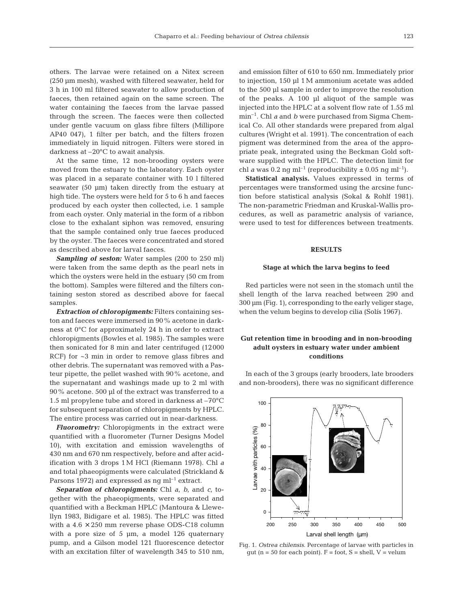others. The larvae were retained on a Nitex screen (250 µm mesh), washed with filtered seawater, held for 3 h in 100 ml filtered seawater to allow production of faeces, then retained again on the same screen. The water containing the faeces from the larvae passed through the screen. The faeces were then collected under gentle vacuum on glass fibre filters (Millipore AP40 047), 1 filter per batch, and the filters frozen immediately in liquid nitrogen. Filters were stored in darkness at –20°C to await analysis.

At the same time, 12 non-brooding oysters were moved from the estuary to the laboratory. Each oyster was placed in a separate container with 10 l filtered seawater (50 µm) taken directly from the estuary at high tide. The oysters were held for 5 to 6 h and faeces produced by each oyster then collected, i.e. 1 sample from each oyster. Only material in the form of a ribbon close to the exhalant siphon was removed, ensuring that the sample contained only true faeces produced by the oyster. The faeces were concentrated and stored as described above for larval faeces.

*Sampling of seston:* Water samples (200 to 250 ml) were taken from the same depth as the pearl nets in which the oysters were held in the estuary (50 cm from the bottom). Samples were filtered and the filters containing seston stored as described above for faecal samples.

*Extraction of chloropigments:* Filters containing seston and faeces were immersed in 90% acetone in darkness at 0°C for approximately 24 h in order to extract chloropigments (Bowles et al. 1985). The samples were then sonicated for 8 min and later centrifuged (12000 RCF) for ~3 min in order to remove glass fibres and other debris. The supernatant was removed with a Pasteur pipette, the pellet washed with 90% acetone, and the supernatant and washings made up to 2 ml with 90% acetone. 500 µl of the extract was transferred to a 1.5 ml propylene tube and stored in darkness at –70°C for subsequent separation of chloropigments by HPLC. The entire process was carried out in near-darkness.

*Fluorometry:* Chloropigments in the extract were quantified with a fluorometer (Turner Designs Model 10), with excitation and emission wavelengths of 430 nm and 670 nm respectively, before and after acidification with 3 drops 1 M HCl (Riemann 1978). Chl *a* and total phaeopigments were calculated (Strickland & Parsons 1972) and expressed as  $ng \, ml^{-1}$  extract.

*Separation of chloropigments:* Chl *a*, *b*, and *c*, together with the phaeopigments, were separated and quantified with a Beckman HPLC (Mantoura & Llewellyn 1983, Bidigare et al. 1985). The HPLC was fitted with a  $4.6 \times 250$  mm reverse phase ODS-C18 column with a pore size of  $5 \mu m$ , a model 126 quaternary pump, and a Gilson model 121 fluorescence detector with an excitation filter of wavelength 345 to 510 nm,

and emission filter of 610 to 650 nm. Immediately prior to injection, 150 µl 1 M ammonium acetate was added to the 500 µl sample in order to improve the resolution of the peaks. A 100 µl aliquot of the sample was injected into the HPLC at a solvent flow rate of 1.55 ml min–1. Chl *a* and *b* were purchased from Sigma Chemical Co. All other standards were prepared from algal cultures (Wright et al*.* 1991). The concentration of each pigment was determined from the area of the appropriate peak, integrated using the Beckman Gold software supplied with the HPLC. The detection limit for chl *a* was 0.2 ng ml<sup>-1</sup> (reproducibility  $\pm$  0.05 ng ml<sup>-1</sup>).

**Statistical analysis.** Values expressed in terms of percentages were transformed using the arcsine function before statistical analysis (Sokal & Rohlf 1981). The non-parametric Friedman and Kruskal-Wallis procedures, as well as parametric analysis of variance, were used to test for differences between treatments.

## **RESULTS**

#### **Stage at which the larva begins to feed**

Red particles were not seen in the stomach until the shell length of the larva reached between 290 and 300 µm (Fig. 1), corresponding to the early veliger stage, when the velum begins to develop cilia (Solís 1967).

## **Gut retention time in brooding and in non-brooding adult oysters in estuary water under ambient conditions**

In each of the 3 groups (early brooders, late brooders and non-brooders), there was no significant difference



Fig. 1. *Ostrea chilensis*. Percentage of larvae with particles in gut ( $n = 50$  for each point).  $F =$  foot,  $S =$  shell,  $V =$  velum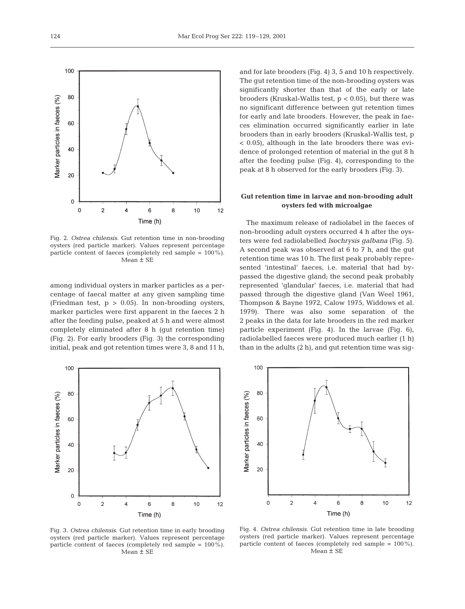centage of faecal matter at any given sampling time (Friedman test,  $p > 0.05$ ). In non-brooding oysters, marker particles were first apparent in the faeces 2 h after the feeding pulse, peaked at 5 h and were almost completely eliminated after 8 h (gut retention time) (Fig. 2). For early brooders (Fig. 3) the corresponding initial, peak and got retention times were 3, 8 and 11 h, and for late brooders (Fig. 4) 3, 5 and 10 h respectively. The gut retention time of the non-brooding oysters was significantly shorter than that of the early or late brooders (Kruskal-Wallis test,  $p < 0.05$ ), but there was no significant difference between gut retention times for early and late brooders. However, the peak in faeces elimination occurred significantly earlier in late brooders than in early brooders (Kruskal-Wallis test, p < 0.05), although in the late brooders there was evidence of prolonged retention of material in the gut 8 h after the feeding pulse (Fig. 4), corresponding to the peak at 8 h observed for the early brooders (Fig. 3).

## **Gut retention time in larvae and non-brooding adult oysters fed with microalgae**

The maximum release of radiolabel in the faeces of non-brooding adult oysters occurred 4 h after the oysters were fed radiolabelled *Isochrysis galbana* (Fig. 5). A second peak was observed at 6 to 7 h, and the gut retention time was 10 h. The first peak probably represented 'intestinal' faeces, i.e. material that had bypassed the digestive gland; the second peak probably represented 'glandular' faeces, i.e. material that had passed through the digestive gland (Van Weel 1961, Thompson & Bayne 1972, Calow 1975, Widdows et al. 1979). There was also some separation of the 2 peaks in the data for late brooders in the red marker particle experiment (Fig. 4). In the larvae (Fig. 6), radiolabelled faeces were produced much earlier (1 h) than in the adults (2 h), and gut retention time was sig-

80 Marker particles in faeces (%) 60 40 20  $\mathbf 0$  $\circ$  $\overline{2}$  $\overline{4}$ 6  $\bf{8}$  $10$  $12$ Time (h)

Fig. 3. *Ostrea chilensis*. Gut retention time in early brooding oysters (red particle marker). Values represent percentage particle content of faeces (completely red sample = 100%). Mean ± SE

Fig. 4. *Ostrea chilensis*. Gut retention time in late brooding oysters (red particle marker). Values represent percentage particle content of faeces (completely red sample = 100%). Mean ± SE







100

80

60

40

100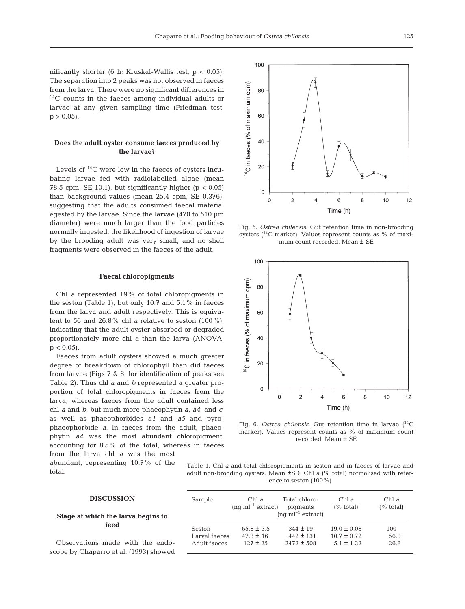100

nificantly shorter (6 h; Kruskal-Wallis test, p < 0.05). The separation into 2 peaks was not observed in faeces from the larva. There were no significant differences in <sup>14</sup>C counts in the faeces among individual adults or larvae at any given sampling time (Friedman test,  $p > 0.05$ .

## **Does the adult oyster consume faeces produced by the larvae?**

Levels of  $^{14}$ C were low in the faeces of oysters incubating larvae fed with radiolabelled algae (mean 78.5 cpm, SE 10.1), but significantly higher ( $p < 0.05$ ) than background values (mean 25.4 cpm, SE 0.376), suggesting that the adults consumed faecal material egested by the larvae. Since the larvae (470 to 510 µm diameter) were much larger than the food particles normally ingested, the likelihood of ingestion of larvae by the brooding adult was very small, and no shell fragments were observed in the faeces of the adult.

#### **Faecal chloropigments**

Chl *a* represented 19% of total chloropigments in the seston (Table 1), but only 10.7 and 5.1% in faeces from the larva and adult respectively. This is equivalent to 56 and 26.8% chl *a* relative to seston (100%), indicating that the adult oyster absorbed or degraded proportionately more chl *a* than the larva (ANOVA;  $p < 0.05$ ).

Faeces from adult oysters showed a much greater degree of breakdown of chlorophyll than did faeces from larvae (Figs 7 & 8; for identification of peaks see Table 2). Thus chl *a* and *b* represented a greater proportion of total chloropigments in faeces from the larva, whereas faeces from the adult contained less chl *a* and *b*, but much more phaeophytin *a*, *a4*, and *c*, as well as phaeophorbides *a1* and *a5* and pyrophaeophorbide *a*. In faeces from the adult, phaeophytin *a4* was the most abundant chloropigment, accounting for 8.5% of the total, whereas in faeces from the larva chl *a* was the most abundant, representing 10.7% of the total.



Fig. 5. *Ostrea chilensis*. Gut retention time in non-brooding oysters (14C marker). Values represent counts as % of maximum count recorded. Mean ± SE



Fig. 6. *Ostrea chilensis*. Gut retention time in larvae (<sup>14</sup>C marker). Values represent counts as % of maximum count recorded. Mean ± SE

Table 1. Chl *a* and total chloropigments in seston and in faeces of larvae and adult non-brooding oysters. Mean ±SD. Chl *a* (% total) normalised with reference to seston (100%)

#### **DISCUSSION**

## **Stage at which the larva begins to feed**

Observations made with the endoscope by Chaparro et al. (1993) showed

| Sample        | Chl $\partial$<br>$(nq \text{ ml}^{-1}$ extract) | Total chloro-<br>pigments<br>$(nq \text{ ml}^{-1}$ extract) | Chl a<br>$(\% \ total)$ | Chl a<br>$(\% \ total)$ |
|---------------|--------------------------------------------------|-------------------------------------------------------------|-------------------------|-------------------------|
| Seston        | $65.8 \pm 3.5$                                   | $.344 + 19$                                                 | $19.0 \pm 0.08$         | 100                     |
| Larval faeces | $47.3 + 16$                                      | $442 \pm 131$                                               | $10.7 + 0.72$           | 56.0                    |
| Adult faeces  | $127 + 25$                                       | $2472 + 508$                                                | $5.1 + 1.32$            | 26.8                    |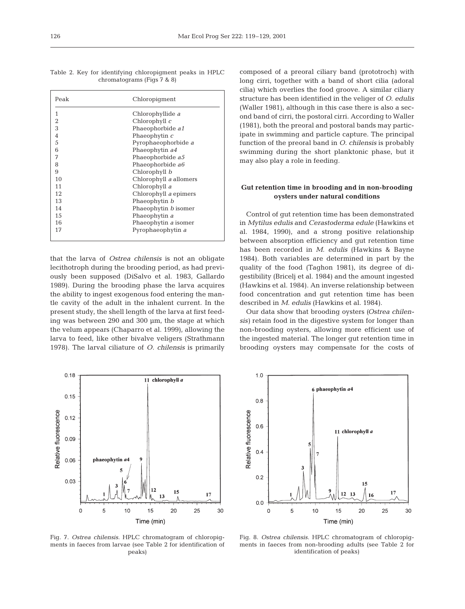|  |  | Table 2. Key for identifying chloropigment peaks in HPLC |  |  |
|--|--|----------------------------------------------------------|--|--|
|  |  | chromatograms (Figs $7 \& 8$ )                           |  |  |

| Peak           | Chloropiqment          |
|----------------|------------------------|
| 1              | Chlorophyllide a       |
| $\overline{2}$ | Chlorophyll $c$        |
| 3              | Phaeophorbide a1       |
| $\sqrt{4}$     | Phaeophytin $c$        |
| 5              | Pyrophaeophorbide a    |
| 6              | Phaeophytin a4         |
| 7              | Phaeophorbide a5       |
| 8              | Phaeophorbide a6       |
| 9              | Chlorophyll b          |
| 10             | Chlorophyll a allomers |
| 11             | Chlorophyll a          |
| 12             | Chlorophyll a epimers  |
| 13             | Phaeophytin b          |
| 14             | Phaeophytin b isomer   |
| 15             | Phaeophytin a          |
| 16             | Phaeophytin a isomer   |
| 17             | Pyrophaeophytin a      |
|                |                        |

that the larva of *Ostrea chilensis* is not an obligate lecithotroph during the brooding period, as had previously been supposed (DiSalvo et al. 1983, Gallardo 1989). During the brooding phase the larva acquires the ability to ingest exogenous food entering the mantle cavity of the adult in the inhalent current. In the present study, the shell length of the larva at first feeding was between 290 and 300 µm, the stage at which the velum appears (Chaparro et al. 1999), allowing the larva to feed, like other bivalve veligers (Strathmann 1978). The larval ciliature of *O. chilensis* is primarily



Fig. 7. *Ostrea chilensis*. HPLC chromatogram of chloropigments in faeces from larvae (see Table 2 for identification of peaks)

composed of a preoral ciliary band (prototroch) with long cirri, together with a band of short cilia (adoral cilia) which overlies the food groove. A similar ciliary structure has been identified in the veliger of *O*. *edulis* (Waller 1981), although in this case there is also a second band of cirri, the postoral cirri. According to Waller (1981), both the preoral and postoral bands may participate in swimming and particle capture. The principal function of the preoral band in *O. chilensis* is probably swimming during the short planktonic phase, but it may also play a role in feeding.

## **Gut retention time in brooding and in non-brooding oysters under natural conditions**

Control of gut retention time has been demonstrated in *Mytilus edulis* and *Cerastoderma edule* (Hawkins et al. 1984, 1990), and a strong positive relationship between absorption efficiency and gut retention time has been recorded in *M. edulis* (Hawkins & Bayne 1984). Both variables are determined in part by the quality of the food (Taghon 1981), its degree of digestibility (Bricelj et al. 1984) and the amount ingested (Hawkins et al. 1984). An inverse relationship between food concentration and gut retention time has been described in *M. edulis* (Hawkins et al. 1984).

Our data show that brooding oysters *(Ostrea chilensis)* retain food in the digestive system for longer than non-brooding oysters, allowing more efficient use of the ingested material. The longer gut retention time in brooding oysters may compensate for the costs of



Fig. 8. *Ostrea chilensis*. HPLC chromatogram of chloropigments in faeces from non-brooding adults (see Table 2 for identification of peaks)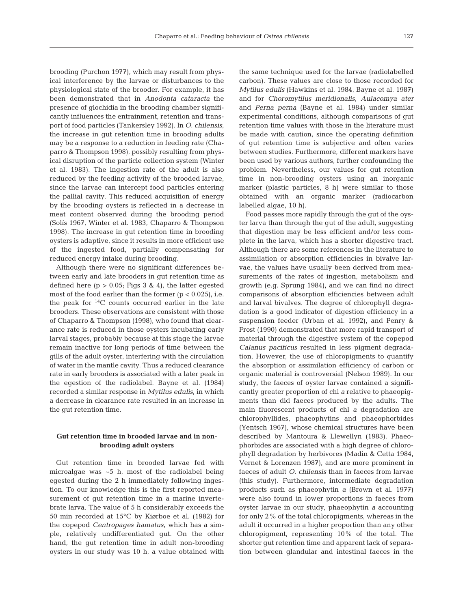brooding (Purchon 1977), which may result from physical interference by the larvae or disturbances to the physiological state of the brooder. For example, it has been demonstrated that in *Anodonta cataracta* the presence of glochidia in the brooding chamber significantly influences the entrainment, retention and transport of food particles (Tankersley 1992). In *O*. *chilensis,* the increase in gut retention time in brooding adults may be a response to a reduction in feeding rate (Chaparro & Thompson 1998), possibly resulting from physical disruption of the particle collection system (Winter et al. 1983). The ingestion rate of the adult is also reduced by the feeding activity of the brooded larvae, since the larvae can intercept food particles entering the pallial cavity. This reduced acquisition of energy by the brooding oysters is reflected in a decrease in meat content observed during the brooding period (Solís 1967, Winter et al. 1983, Chaparro & Thompson 1998). The increase in gut retention time in brooding oysters is adaptive, since it results in more efficient use of the ingested food, partially compensating for reduced energy intake during brooding.

Although there were no significant differences between early and late brooders in gut retention time as defined here  $(p > 0.05$ ; Figs 3 & 4), the latter egested most of the food earlier than the former  $(p < 0.025)$ , i.e. the peak for  $^{14}$ C counts occurred earlier in the late brooders. These observations are consistent with those of Chaparro & Thompson (1998), who found that clearance rate is reduced in those oysters incubating early larval stages, probably because at this stage the larvae remain inactive for long periods of time between the gills of the adult oyster, interfering with the circulation of water in the mantle cavity. Thus a reduced clearance rate in early brooders is associated with a later peak in the egestion of the radiolabel. Bayne et al. (1984) recorded a similar response in *Mytilus edulis*, in which a decrease in clearance rate resulted in an increase in the gut retention time.

## **Gut retention time in brooded larvae and in nonbrooding adult oysters**

Gut retention time in brooded larvae fed with microalgae was ~5 h, most of the radiolabel being egested during the 2 h immediately following ingestion. To our knowledge this is the first reported measurement of gut retention time in a marine invertebrate larva. The value of 5 h considerably exceeds the 50 min recorded at 15°C by Kiørboe et al. (1982) for the copepod *Centropages hamatus*, which has a simple, relatively undifferentiated gut. On the other hand, the gut retention time in adult non-brooding oysters in our study was 10 h, a value obtained with

the same technique used for the larvae (radiolabelled carbon). These values are close to those recorded for *Mytilus edulis* (Hawkins et al. 1984, Bayne et al. 1987) and for *Choromytilus meridionalis*, *Aulacomya ater* and *Perna perna* (Bayne et al. 1984) under similar experimental conditions, although comparisons of gut retention time values with those in the literature must be made with caution, since the operating definition of gut retention time is subjective and often varies between studies. Furthermore, different markers have been used by various authors, further confounding the problem. Nevertheless, our values for gut retention time in non-brooding oysters using an inorganic marker (plastic particles, 8 h) were similar to those obtained with an organic marker (radiocarbon labelled algae, 10 h).

Food passes more rapidly through the gut of the oyster larva than through the gut of the adult, suggesting that digestion may be less efficient and/or less complete in the larva, which has a shorter digestive tract. Although there are some references in the literature to assimilation or absorption efficiencies in bivalve larvae, the values have usually been derived from measurements of the rates of ingestion, metabolism and growth (e.g. Sprung 1984), and we can find no direct comparisons of absorption efficiencies between adult and larval bivalves. The degree of chlorophyll degradation is a good indicator of digestion efficiency in a suspension feeder (Urban et al. 1992), and Penry & Frost (1990) demonstrated that more rapid transport of material through the digestive system of the copepod *Calanus pacificus* resulted in less pigment degradation. However, the use of chloropigments to quantify the absorption or assimilation efficiency of carbon or organic material is controversial (Nelson 1989). In our study, the faeces of oyster larvae contained a significantly greater proportion of chl *a* relative to phaeopigments than did faeces produced by the adults. The main fluorescent products of chl *a* degradation are chlorophyllides, phaeophytins and phaeophorbides (Yentsch 1967), whose chemical structures have been described by Mantoura & Llewellyn (1983). Phaeophorbides are associated with a high degree of chlorophyll degradation by herbivores (Madin & Cetta 1984, Vernet & Lorenzen 1987), and are more prominent in faeces of adult *O. chilensis* than in faeces from larvae (this study). Furthermore, intermediate degradation products such as phaeophytin *a* (Brown et al. 1977) were also found in lower proportions in faeces from oyster larvae in our study, phaeophytin *a* accounting for only 2% of the total chloropigments, whereas in the adult it occurred in a higher proportion than any other chloropigment, representing 10% of the total. The shorter gut retention time and apparent lack of separation between glandular and intestinal faeces in the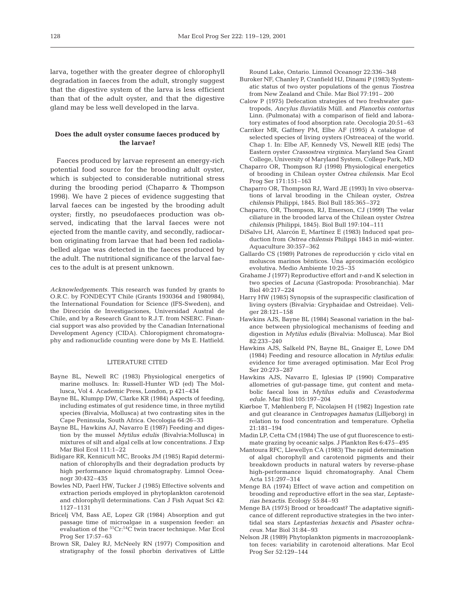larva, together with the greater degree of chlorophyll degradation in faeces from the adult, strongly suggest that the digestive system of the larva is less efficient than that of the adult oyster, and that the digestive gland may be less well developed in the larva.

### **Does the adult oyster consume faeces produced by the larvae?**

Faeces produced by larvae represent an energy-rich potential food source for the brooding adult oyster, which is subjected to considerable nutritional stress during the brooding period (Chaparro & Thompson 1998). We have 2 pieces of evidence suggesting that larval faeces can be ingested by the brooding adult oyster; firstly, no pseudofaeces production was observed, indicating that the larval faeces were not ejected from the mantle cavity, and secondly, radiocarbon originating from larvae that had been fed radiolabelled algae was detected in the faeces produced by the adult. The nutritional significance of the larval faeces to the adult is at present unknown.

*Acknowledgements.* This research was funded by grants to O.R.C. by FONDECYT Chile (Grants 1930364 and 1980984), the International Foundation for Science (IFS-Sweden), and the Dirección de Investigaciones, Universidad Austral de Chile, and by a Research Grant to R.J.T. from NSERC. Financial support was also provided by the Canadian International Development Agency (CIDA). Chloropigment chromatography and radionuclide counting were done by Ms E. Hatfield.

#### LITERATURE CITED

- Bayne BL, Newell RC (1983) Physiological energetics of marine molluscs. In: Russell-Hunter WD (ed) The Mollusca, Vol 4. Academic Press, London, p 421–434
- Bayne BL, Klumpp DW, Clarke KR (1984) Aspects of feeding, including estimates of gut residence time, in three mytilid species (Bivalvia, Mollusca) at two contrasting sites in the Cape Peninsula, South Africa. Oecologia 64:26–33
- Bayne BL, Hawkins AJ, Navarro E (1987) Feeding and digestion by the mussel *Mytilus edulis* (Bivalvia:Mollusca) in mixtures of silt and algal cells at low concentrations. J Exp Mar Biol Ecol 111:1–22
- Bidigare RR, Kennicutt MC, Brooks JM (1985) Rapid determination of chlorophylls and their degradation products by high performance liquid chromatography. Limnol Oceanogr 30:432–435
- Bowles ND, Paerl HW, Tucker J (1985) Effective solvents and extraction periods employed in phytoplankton carotenoid and chlorophyll determinations. Can J Fish Aquat Sci 42: 1127–1131
- Bricelj VM, Bass AE, Lopez GR (1984) Absorption and gut passage time of microalgae in a suspension feeder: an evaluation of the 51Cr:14C twin tracer technique. Mar Ecol Prog Ser 17:57–63
- Brown SR, Daley RJ, McNeely RN (1977) Composition and stratigraphy of the fossil phorbin derivatives of Little

Round Lake, Ontario. Limnol Oceanogr 22:336–348

- Buroker NF, Chanley P, Cranfield HJ, Dinami P (1983) Systematic status of two oyster populations of the genus *Tiostrea* from New Zealand and Chile. Mar Biol 77:191– 200
- Calow P (1975) Defecation strategies of two freshwater gastropods, *Ancylus fluviatilis* Müll. and *Planorbis contortus* Linn. (Pulmonata) with a comparison of field and laboratory estimates of food absorption rate. Oecologia 20:51–63
- Carriker MR, Gaffney PM, Elbe AF (1995) A catalogue of selected species of living oysters (Ostreacea) of the world. Chap 1. In: Elbe AF, Kennedy VS, Newell RIE (eds) The Eastern oyster *Crassostrea virginica*. Maryland Sea Grant College, University of Maryland System, College Park, MD
- Chaparro OR, Thompson RJ (1998) Physiological energetics of brooding in Chilean oyster *Ostrea chilensis*. Mar Ecol Prog Ser 171:151–163
- Chaparro OR, Thompson RJ, Ward JE (1993) In vivo observations of larval brooding in the Chilean oyster, *Ostrea chilensis* Philippi, 1845. Biol Bull 185:365–372
- Chaparro, OR, Thompson, RJ, Emerson, CJ (1999) The velar ciliature in the brooded larva of the Chilean oyster *Ostrea chilensis* (Philippi, 1845). Biol Bull 197:104–111
- DiSalvo LH, Alarcón E, Martínez E (1983) Induced spat production from *Ostrea chilensis* Philippi 1845 in mid-winter. Aquaculture 30:357–362
- Gallardo CS (1989) Patrones de reproducción y ciclo vital en moluscos marinos bénticos. Una aproximación ecológico evolutiva. Medio Ambiente 10:25–35
- Grahame J (1977) Reproductive effort and r-and K selection in two species of *Lacuna* (Gastropoda: Prosobranchia). Mar Biol 40:217–224
- Harry HW (1985) Synopsis of the supraspecific clasification of living oysters (Bivalvia: Gryphaidae and Ostreidae). Veliger 28:121–158
- Hawkins AJS, Bayne BL (1984) Seasonal variation in the balance between physiological mechanisms of feeding and digestion in *Mytilus edulis* (Bivalvia: Mollusca). Mar Biol 82:233–240
- Hawkins AJS, Salkeld PN, Bayne BL, Gnaiger E, Lowe DM (1984) Feeding and resource allocation in *Mytilus edulis*: evidence for time averaged optimisation. Mar Ecol Prog Ser 20:273–287
- Hawkins AJS, Navarro E, Iglesias IP (1990) Comparative allometries of gut-passage time, gut content and metabolic faecal loss in *Mytilus edulis* and *Cerastoderma edule*. Mar Biol 105:197–204
- Kiørboe T, Møhlenberg F, Nicolajsen H (1982) Ingestion rate and gut clearance in *Centropages hamatus* (Lilljeborg) in relation to food concentration and temperature. Ophelia 21:181–194
- Madin LP, Cetta CM (1984) The use of gut fluorescence to estimate grazing by oceanic salps. J Plankton Res 6:475–495
- Mantoura RFC, Llewellyn CA (1983) The rapid determination of algal chorophyll and carotenoid pigments and their breakdown products in natural waters by reverse-phase high-performance liquid chromatography. Anal Chem Acta 151:297–314
- Menge BA (1974) Effect of wave action and competition on brooding and reproductive effort in the sea star, *Leptasterias hexactis*. Ecology 55:84–93
- Menge BA (1975) Brood or broadcast? The adaptative significance of different reproductive strategies in the two intertidal sea stars *Leptasterias hexactis* and *Pisaster ochraceus*. Mar Biol 31:84–93
- Nelson JR (1989) Phytoplankton pigments in macrozooplankton feces: variability in carotenoid alterations. Mar Ecol Prog Ser 52:129–144